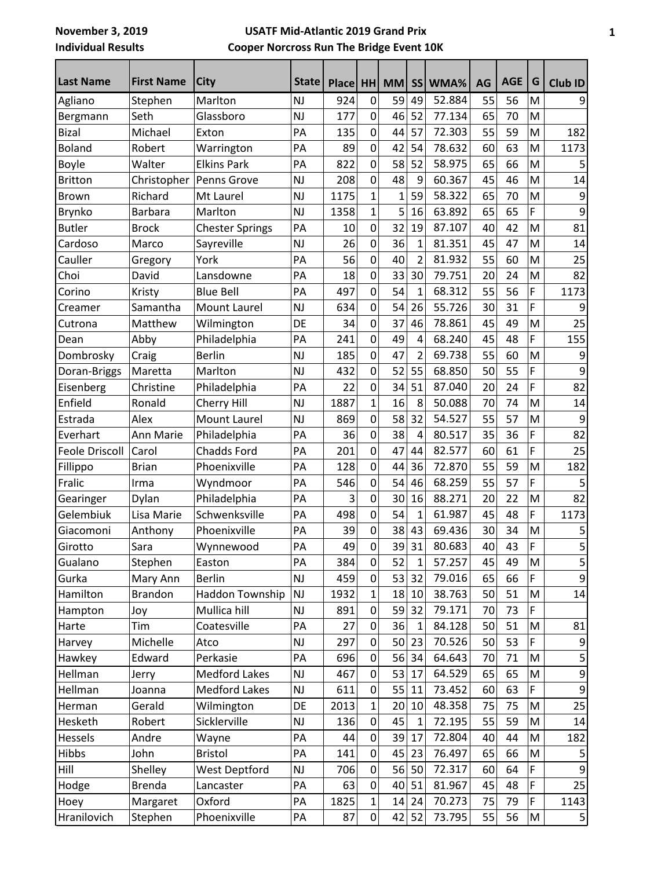## **USATF Mid-Atlantic 2019 Grand Prix Cooper Norcross Run The Bridge Event 10K**

| <b>Last Name</b>      | <b>First Name</b> | <b>City</b>            | <b>State</b>  | Place HH |                | <b>MM</b>    | <b>SS</b>      | WMA%   | AG | <b>AGE</b> | G | Club ID                 |
|-----------------------|-------------------|------------------------|---------------|----------|----------------|--------------|----------------|--------|----|------------|---|-------------------------|
| Agliano               | Stephen           | Marlton                | <b>NJ</b>     | 924      | $\mathbf 0$    | 59           | 49             | 52.884 | 55 | 56         | M | 9                       |
| Bergmann              | Seth              | Glassboro              | <b>NJ</b>     | 177      | $\mathbf 0$    | 46           | 52             | 77.134 | 65 | 70         | M |                         |
| <b>Bizal</b>          | Michael           | Exton                  | PA            | 135      | $\mathbf 0$    | 44           | 57             | 72.303 | 55 | 59         | M | 182                     |
| <b>Boland</b>         | Robert            | Warrington             | PA            | 89       | $\mathbf 0$    | 42           | 54             | 78.632 | 60 | 63         | M | 1173                    |
| <b>Boyle</b>          | Walter            | <b>Elkins Park</b>     | PA            | 822      | $\mathbf 0$    | 58           | 52             | 58.975 | 65 | 66         | M |                         |
| <b>Britton</b>        | Christopher       | Penns Grove            | <b>NJ</b>     | 208      | $\mathbf 0$    | 48           | 9              | 60.367 | 45 | 46         | M | 14                      |
| <b>Brown</b>          | Richard           | Mt Laurel              | <b>NJ</b>     | 1175     | $\mathbf{1}$   | $\mathbf{1}$ | 59             | 58.322 | 65 | 70         | M | 9                       |
| <b>Brynko</b>         | <b>Barbara</b>    | Marlton                | <b>NJ</b>     | 1358     | $\mathbf{1}$   | 5            | 16             | 63.892 | 65 | 65         | F | 9                       |
| <b>Butler</b>         | <b>Brock</b>      | <b>Chester Springs</b> | PA            | 10       | $\mathbf 0$    | 32           | 19             | 87.107 | 40 | 42         | M | 81                      |
| Cardoso               | Marco             | Sayreville             | NJ            | 26       | $\mathbf 0$    | 36           | 1              | 81.351 | 45 | 47         | M | 14                      |
| Cauller               | Gregory           | York                   | PA            | 56       | $\mathbf 0$    | 40           | $\overline{2}$ | 81.932 | 55 | 60         | M | 25                      |
| Choi                  | David             | Lansdowne              | PA            | 18       | $\mathbf 0$    | 33           | 30             | 79.751 | 20 | 24         | M | 82                      |
| Corino                | Kristy            | <b>Blue Bell</b>       | PA            | 497      | $\overline{0}$ | 54           | $\mathbf{1}$   | 68.312 | 55 | 56         | F | 1173                    |
| Creamer               | Samantha          | <b>Mount Laurel</b>    | <b>NJ</b>     | 634      | $\mathbf 0$    | 54           | 26             | 55.726 | 30 | 31         | F | 9                       |
| Cutrona               | Matthew           | Wilmington             | DE            | 34       | $\mathbf 0$    | 37           | 46             | 78.861 | 45 | 49         | M | 25                      |
| Dean                  | Abby              | Philadelphia           | PA            | 241      | $\mathbf 0$    | 49           | 4              | 68.240 | 45 | 48         | F | 155                     |
| Dombrosky             | Craig             | <b>Berlin</b>          | <b>NJ</b>     | 185      | $\mathbf 0$    | 47           | $\overline{2}$ | 69.738 | 55 | 60         | M | 9                       |
| Doran-Briggs          | Maretta           | Marlton                | <b>NJ</b>     | 432      | $\mathbf 0$    | 52           | 55             | 68.850 | 50 | 55         | F | 9                       |
| Eisenberg             | Christine         | Philadelphia           | PA            | 22       | $\mathbf 0$    | 34           | 51             | 87.040 | 20 | 24         | F | 82                      |
| Enfield               | Ronald            | Cherry Hill            | <b>NJ</b>     | 1887     | $\mathbf{1}$   | 16           | 8              | 50.088 | 70 | 74         | M | 14                      |
| Estrada               | Alex              | <b>Mount Laurel</b>    | <b>NJ</b>     | 869      | $\mathbf 0$    | 58           | 32             | 54.527 | 55 | 57         | M | 9                       |
| Everhart              | Ann Marie         | Philadelphia           | PA            | 36       | $\mathbf 0$    | 38           | 4              | 80.517 | 35 | 36         | F | 82                      |
| <b>Feole Driscoll</b> | Carol             | Chadds Ford            | PA            | 201      | $\mathbf 0$    | 47           | 44             | 82.577 | 60 | 61         | F | 25                      |
| Fillippo              | <b>Brian</b>      | Phoenixville           | PA            | 128      | $\mathbf 0$    | 44           | 36             | 72.870 | 55 | 59         | M | 182                     |
| Fralic                | Irma              | Wyndmoor               | PA            | 546      | $\mathbf 0$    | 54           | 46             | 68.259 | 55 | 57         | F | 5                       |
| Gearinger             | Dylan             | Philadelphia           | PA            | 3        | $\mathbf 0$    | 30           | 16             | 88.271 | 20 | 22         | M | 82                      |
| Gelembiuk             | Lisa Marie        | Schwenksville          | PA            | 498      | $\mathbf 0$    | 54           | 1              | 61.987 | 45 | 48         | F | 1173                    |
| Giacomoni             | Anthony           | Phoenixville           | PA            | 39       | $\mathbf 0$    | 38           | 43             | 69.436 | 30 | 34         | M | $\mathsf S$             |
| Girotto               | Sara              | Wynnewood              | PA            | 49       | $\mathbf 0$    | 39           | 31             | 80.683 | 40 | 43         | F | 5                       |
| Gualano               | Stephen           | Easton                 | PA            | 384      | $\mathbf 0$    | 52           | 1              | 57.257 | 45 | 49         | M | $\mathsf S$             |
| Gurka                 | Mary Ann          | <b>Berlin</b>          | $\mathsf{NJ}$ | 459      | $\mathbf 0$    | 53           | 32             | 79.016 | 65 | 66         | F | 9                       |
| Hamilton              | Brandon           | Haddon Township        | <b>NJ</b>     | 1932     | $\mathbf{1}$   | 18           | 10             | 38.763 | 50 | 51         | M | 14                      |
| Hampton               | Joy               | Mullica hill           | NJ            | 891      | $\pmb{0}$      | 59           | 32             | 79.171 | 70 | 73         | F |                         |
| Harte                 | Tim               | Coatesville            | PA            | 27       | $\mathbf 0$    | 36           | 1              | 84.128 | 50 | 51         | M | 81                      |
| Harvey                | Michelle          | Atco                   | NJ            | 297      | $\mathbf 0$    | 50           | 23             | 70.526 | 50 | 53         | F | $\boldsymbol{9}$        |
| Hawkey                | Edward            | Perkasie               | PA            | 696      | $\pmb{0}$      | 56           | 34             | 64.643 | 70 | 71         | M | 5                       |
| Hellman               | Jerry             | <b>Medford Lakes</b>   | $\mathsf{NJ}$ | 467      | $\pmb{0}$      | 53           | 17             | 64.529 | 65 | 65         | M | 9                       |
| Hellman               | Joanna            | <b>Medford Lakes</b>   | $\mathsf{NJ}$ | 611      | $\mathbf 0$    | 55           | 11             | 73.452 | 60 | 63         | F | 9                       |
| Herman                | Gerald            | Wilmington             | DE            | 2013     | $\mathbf{1}$   | 20           | 10             | 48.358 | 75 | 75         | M | 25                      |
| Hesketh               | Robert            | Sicklerville           | $\mathsf{NJ}$ | 136      | $\mathbf 0$    | 45           | $\mathbf{1}$   | 72.195 | 55 | 59         | M | 14                      |
| Hessels               | Andre             | Wayne                  | PA            | 44       | $\mathbf 0$    | 39           | 17             | 72.804 | 40 | 44         | M | 182                     |
| Hibbs                 | John              | <b>Bristol</b>         | PA            | 141      | $\pmb{0}$      | 45           | 23             | 76.497 | 65 | 66         | M | 5                       |
| Hill                  | Shelley           | West Deptford          | $\mathsf{NJ}$ | 706      | $\pmb{0}$      | 56           | 50             | 72.317 | 60 | 64         | F | 9                       |
| Hodge                 | <b>Brenda</b>     | Lancaster              | PA            | 63       | $\mathbf 0$    | 40           | 51             | 81.967 | 45 | 48         | F | 25                      |
| Hoey                  | Margaret          | Oxford                 | PA            | 1825     | $\mathbf{1}$   | 14           | 24             | 70.273 | 75 | 79         | F | 1143                    |
| Hranilovich           | Stephen           | Phoenixville           | PA            | 87       | $\pmb{0}$      |              | 42 52          | 73.795 | 55 | 56         | M | $\overline{\mathbf{5}}$ |